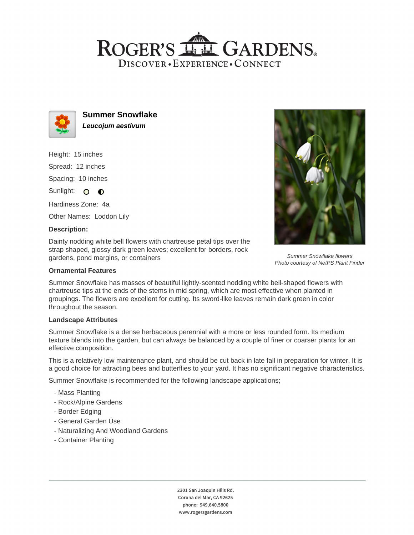## ROGER'S LL GARDENS. DISCOVER · EXPERIENCE · CONNECT



**Summer Snowflake Leucojum aestivum**

Height: 15 inches Spread: 12 inches Spacing: 10 inches Sunlight: O O

Hardiness Zone: 4a

Other Names: Loddon Lily

### **Description:**

Dainty nodding white bell flowers with chartreuse petal tips over the strap shaped, glossy dark green leaves; excellent for borders, rock gardens, pond margins, or containers

#### **Ornamental Features**

Summer Snowflake has masses of beautiful lightly-scented nodding white bell-shaped flowers with chartreuse tips at the ends of the stems in mid spring, which are most effective when planted in groupings. The flowers are excellent for cutting. Its sword-like leaves remain dark green in color throughout the season.

#### **Landscape Attributes**

Summer Snowflake is a dense herbaceous perennial with a more or less rounded form. Its medium texture blends into the garden, but can always be balanced by a couple of finer or coarser plants for an effective composition.

This is a relatively low maintenance plant, and should be cut back in late fall in preparation for winter. It is a good choice for attracting bees and butterflies to your yard. It has no significant negative characteristics.

Summer Snowflake is recommended for the following landscape applications;

- Mass Planting
- Rock/Alpine Gardens
- Border Edging
- General Garden Use
- Naturalizing And Woodland Gardens
- Container Planting

2301 San Joaquin Hills Rd. Corona del Mar, CA 92625 phone: 949.640.5800 www.rogersgardens.com



Summer Snowflake flowers Photo courtesy of NetPS Plant Finder